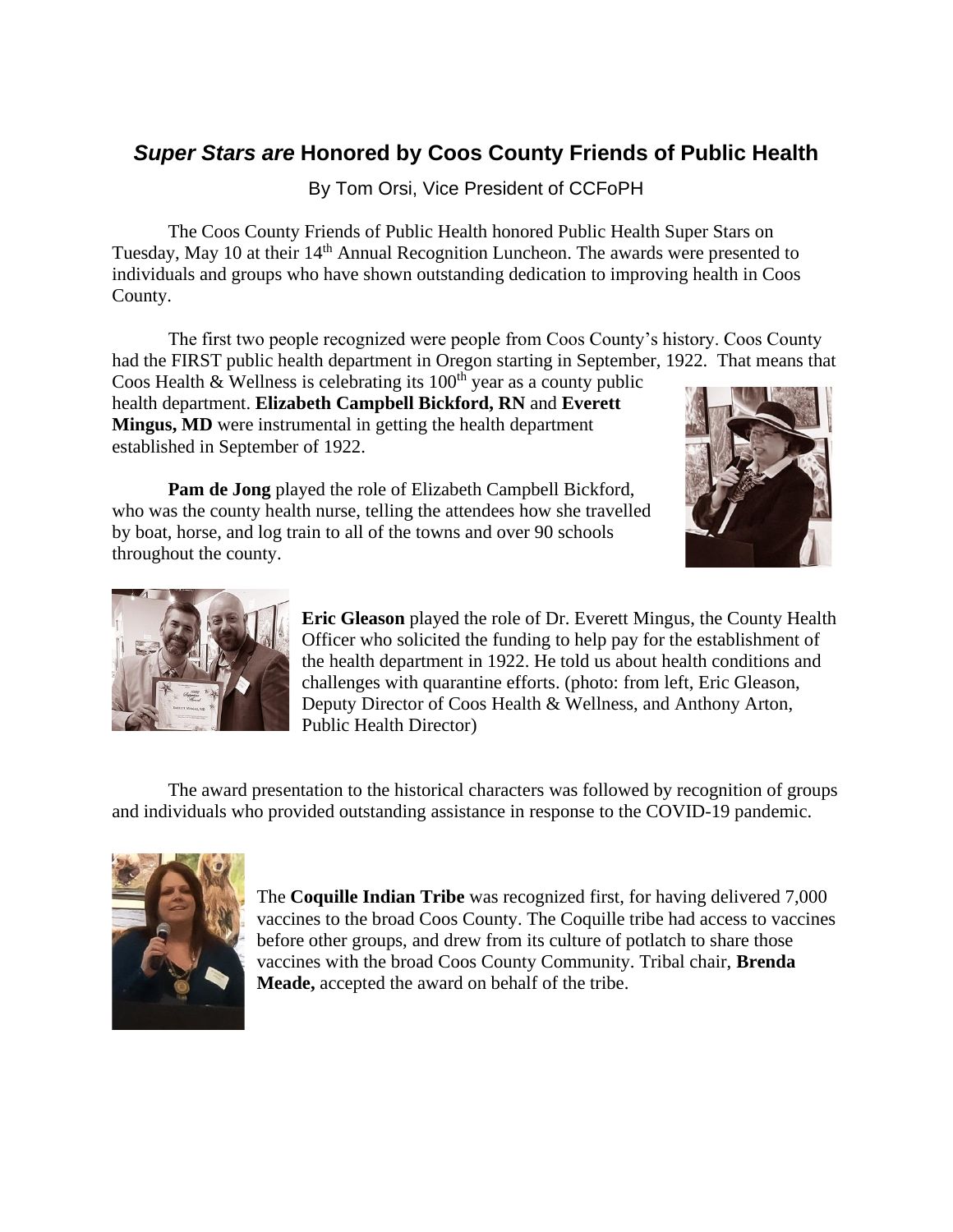## *Super Stars are* **Honored by Coos County Friends of Public Health**

By Tom Orsi, Vice President of CCFoPH

The Coos County Friends of Public Health honored Public Health Super Stars on Tuesday, May 10 at their 14<sup>th</sup> Annual Recognition Luncheon. The awards were presented to individuals and groups who have shown outstanding dedication to improving health in Coos County.

The first two people recognized were people from Coos County's history. Coos County had the FIRST public health department in Oregon starting in September, 1922. That means that

Coos Health & Wellness is celebrating its  $100<sup>th</sup>$  year as a county public health department. **Elizabeth Campbell Bickford, RN** and **Everett Mingus, MD** were instrumental in getting the health department established in September of 1922.



**Pam de Jong** played the role of Elizabeth Campbell Bickford, who was the county health nurse, telling the attendees how she travelled by boat, horse, and log train to all of the towns and over 90 schools throughout the county.



**Eric Gleason** played the role of Dr. Everett Mingus, the County Health Officer who solicited the funding to help pay for the establishment of the health department in 1922. He told us about health conditions and challenges with quarantine efforts. (photo: from left, Eric Gleason, Deputy Director of Coos Health & Wellness, and Anthony Arton, Public Health Director)

The award presentation to the historical characters was followed by recognition of groups and individuals who provided outstanding assistance in response to the COVID-19 pandemic.



The **Coquille Indian Tribe** was recognized first, for having delivered 7,000 vaccines to the broad Coos County. The Coquille tribe had access to vaccines before other groups, and drew from its culture of potlatch to share those vaccines with the broad Coos County Community. Tribal chair, **Brenda Meade,** accepted the award on behalf of the tribe.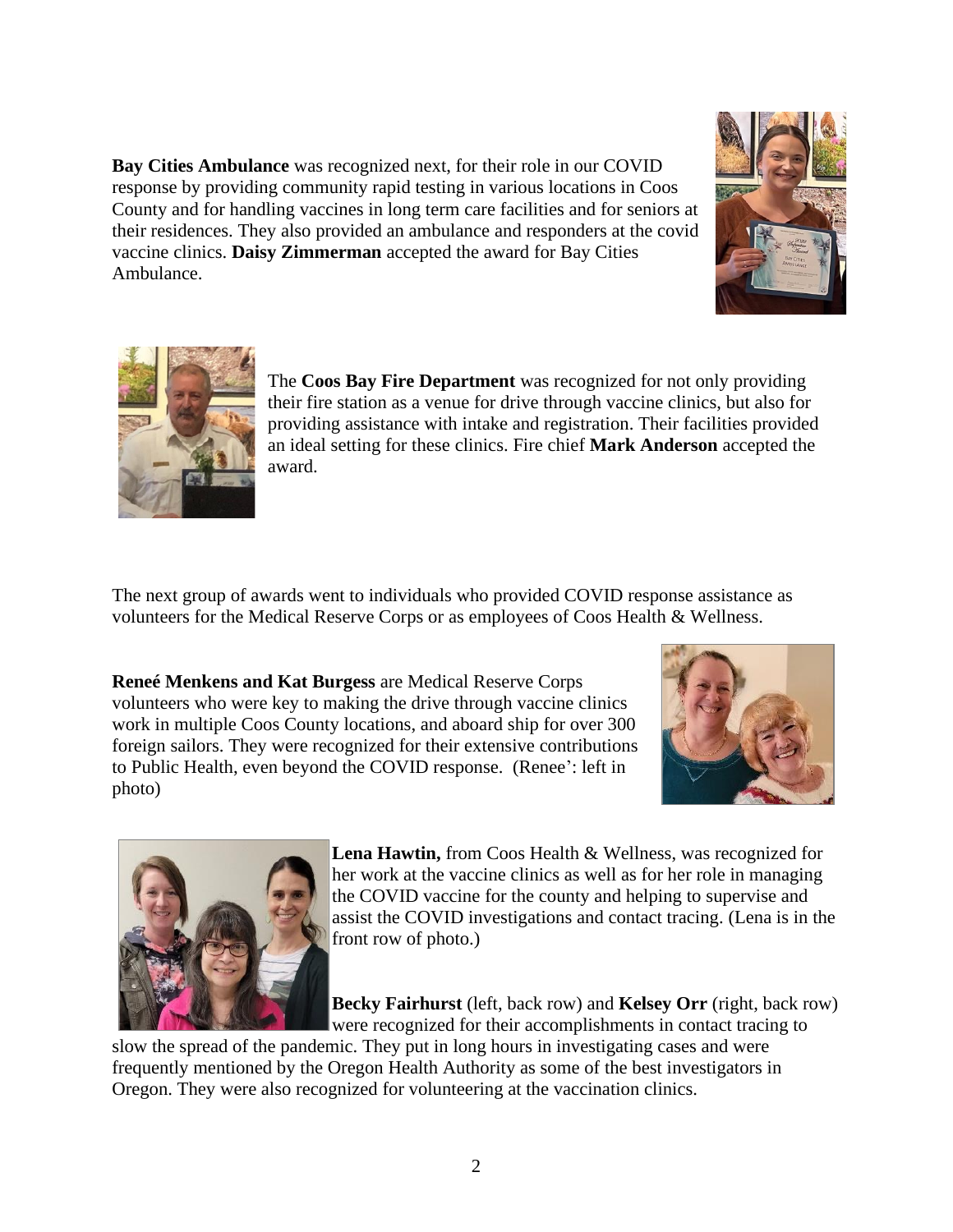**Bay Cities Ambulance** was recognized next, for their role in our COVID response by providing community rapid testing in various locations in Coos County and for handling vaccines in long term care facilities and for seniors at their residences. They also provided an ambulance and responders at the covid vaccine clinics. **Daisy Zimmerman** accepted the award for Bay Cities Ambulance.





The **Coos Bay Fire Department** was recognized for not only providing their fire station as a venue for drive through vaccine clinics, but also for providing assistance with intake and registration. Their facilities provided an ideal setting for these clinics. Fire chief **Mark Anderson** accepted the award.

The next group of awards went to individuals who provided COVID response assistance as volunteers for the Medical Reserve Corps or as employees of Coos Health & Wellness.

**Reneé Menkens and Kat Burgess** are Medical Reserve Corps volunteers who were key to making the drive through vaccine clinics work in multiple Coos County locations, and aboard ship for over 300 foreign sailors. They were recognized for their extensive contributions to Public Health, even beyond the COVID response. (Renee': left in photo)





**Lena Hawtin,** from Coos Health & Wellness, was recognized for her work at the vaccine clinics as well as for her role in managing the COVID vaccine for the county and helping to supervise and assist the COVID investigations and contact tracing. (Lena is in the front row of photo.)

**Becky Fairhurst** (left, back row) and **Kelsey Orr** (right, back row) were recognized for their accomplishments in contact tracing to

slow the spread of the pandemic. They put in long hours in investigating cases and were frequently mentioned by the Oregon Health Authority as some of the best investigators in Oregon. They were also recognized for volunteering at the vaccination clinics.